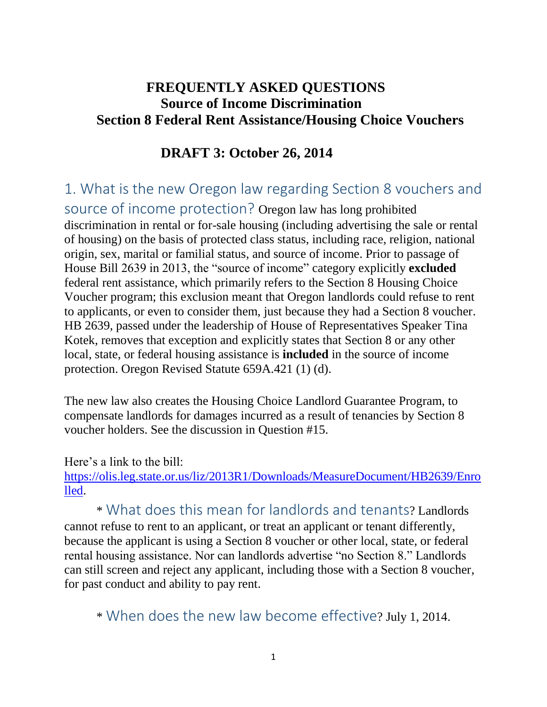#### **FREQUENTLY ASKED QUESTIONS Source of Income Discrimination Section 8 Federal Rent Assistance/Housing Choice Vouchers**

#### **DRAFT 3: October 26, 2014**

## 1. What is the new Oregon law regarding Section 8 vouchers and

source of income protection? Oregon law has long prohibited discrimination in rental or for-sale housing (including advertising the sale or rental of housing) on the basis of protected class status, including race, religion, national origin, sex, marital or familial status, and source of income. Prior to passage of House Bill 2639 in 2013, the "source of income" category explicitly **excluded** federal rent assistance, which primarily refers to the Section 8 Housing Choice Voucher program; this exclusion meant that Oregon landlords could refuse to rent to applicants, or even to consider them, just because they had a Section 8 voucher. HB 2639, passed under the leadership of House of Representatives Speaker Tina Kotek, removes that exception and explicitly states that Section 8 or any other local, state, or federal housing assistance is **included** in the source of income protection. Oregon Revised Statute 659A.421 (1) (d).

The new law also creates the Housing Choice Landlord Guarantee Program, to compensate landlords for damages incurred as a result of tenancies by Section 8 voucher holders. See the discussion in Question #15.

Here's a link to the bill:

[https://olis.leg.state.or.us/liz/2013R1/Downloads/MeasureDocument/HB2639/Enro](https://olis.leg.state.or.us/liz/2013R1/Downloads/MeasureDocument/HB2639/Enrolled) [lled.](https://olis.leg.state.or.us/liz/2013R1/Downloads/MeasureDocument/HB2639/Enrolled)

\* What does this mean for landlords and tenants? Landlords cannot refuse to rent to an applicant, or treat an applicant or tenant differently, because the applicant is using a Section 8 voucher or other local, state, or federal rental housing assistance. Nor can landlords advertise "no Section 8." Landlords can still screen and reject any applicant, including those with a Section 8 voucher, for past conduct and ability to pay rent.

\* When does the new law become effective? July 1, 2014.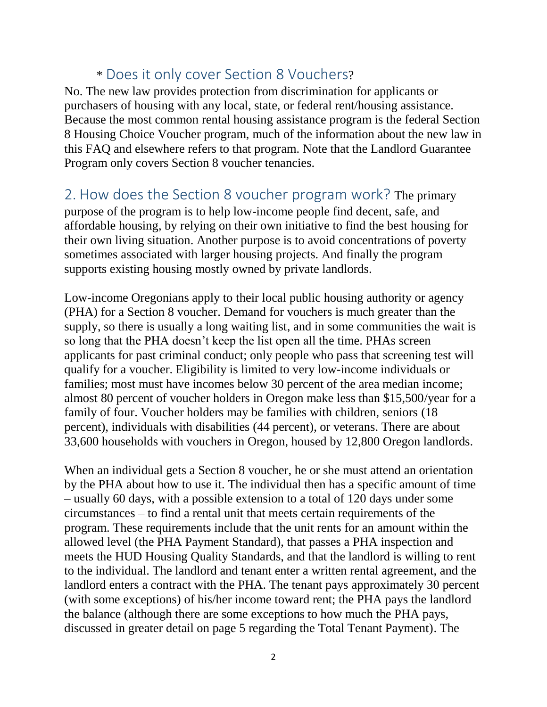### \* Does it only cover Section 8 Vouchers?

No. The new law provides protection from discrimination for applicants or purchasers of housing with any local, state, or federal rent/housing assistance. Because the most common rental housing assistance program is the federal Section 8 Housing Choice Voucher program, much of the information about the new law in this FAQ and elsewhere refers to that program. Note that the Landlord Guarantee Program only covers Section 8 voucher tenancies.

#### 2. How does the Section 8 voucher program work? The primary

purpose of the program is to help low-income people find decent, safe, and affordable housing, by relying on their own initiative to find the best housing for their own living situation. Another purpose is to avoid concentrations of poverty sometimes associated with larger housing projects. And finally the program supports existing housing mostly owned by private landlords.

Low-income Oregonians apply to their local public housing authority or agency (PHA) for a Section 8 voucher. Demand for vouchers is much greater than the supply, so there is usually a long waiting list, and in some communities the wait is so long that the PHA doesn't keep the list open all the time. PHAs screen applicants for past criminal conduct; only people who pass that screening test will qualify for a voucher. Eligibility is limited to very low-income individuals or families; most must have incomes below 30 percent of the area median income; almost 80 percent of voucher holders in Oregon make less than \$15,500/year for a family of four. Voucher holders may be families with children, seniors (18 percent), individuals with disabilities (44 percent), or veterans. There are about 33,600 households with vouchers in Oregon, housed by 12,800 Oregon landlords.

When an individual gets a Section 8 voucher, he or she must attend an orientation by the PHA about how to use it. The individual then has a specific amount of time – usually 60 days, with a possible extension to a total of 120 days under some circumstances – to find a rental unit that meets certain requirements of the program. These requirements include that the unit rents for an amount within the allowed level (the PHA Payment Standard), that passes a PHA inspection and meets the HUD Housing Quality Standards, and that the landlord is willing to rent to the individual. The landlord and tenant enter a written rental agreement, and the landlord enters a contract with the PHA. The tenant pays approximately 30 percent (with some exceptions) of his/her income toward rent; the PHA pays the landlord the balance (although there are some exceptions to how much the PHA pays, discussed in greater detail on page 5 regarding the Total Tenant Payment). The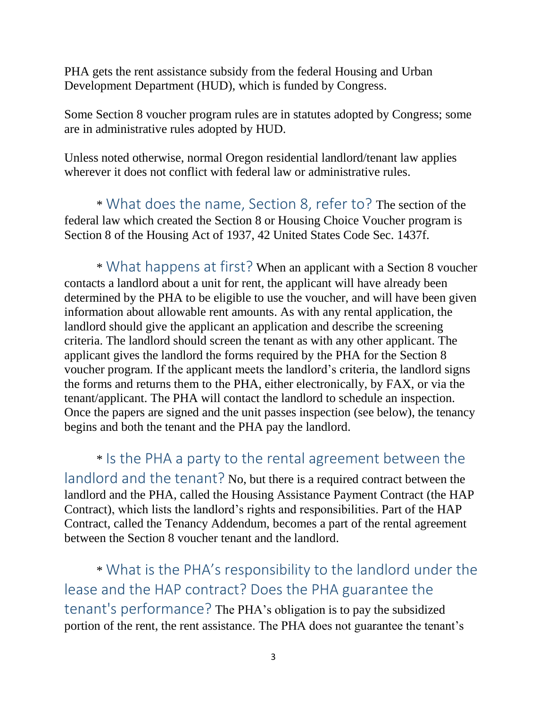PHA gets the rent assistance subsidy from the federal Housing and Urban Development Department (HUD), which is funded by Congress.

Some Section 8 voucher program rules are in statutes adopted by Congress; some are in administrative rules adopted by HUD.

Unless noted otherwise, normal Oregon residential landlord/tenant law applies wherever it does not conflict with federal law or administrative rules.

\* What does the name, Section 8, refer to? The section of the federal law which created the Section 8 or Housing Choice Voucher program is Section 8 of the Housing Act of 1937, 42 United States Code Sec. 1437f.

\* What happens at first? When an applicant with a Section 8 voucher contacts a landlord about a unit for rent, the applicant will have already been determined by the PHA to be eligible to use the voucher, and will have been given information about allowable rent amounts. As with any rental application, the landlord should give the applicant an application and describe the screening criteria. The landlord should screen the tenant as with any other applicant. The applicant gives the landlord the forms required by the PHA for the Section 8 voucher program. If the applicant meets the landlord's criteria, the landlord signs the forms and returns them to the PHA, either electronically, by FAX, or via the tenant/applicant. The PHA will contact the landlord to schedule an inspection. Once the papers are signed and the unit passes inspection (see below), the tenancy begins and both the tenant and the PHA pay the landlord.

\* Is the PHA a party to the rental agreement between the landlord and the tenant? No, but there is a required contract between the landlord and the PHA, called the Housing Assistance Payment Contract (the HAP Contract), which lists the landlord's rights and responsibilities. Part of the HAP Contract, called the Tenancy Addendum, becomes a part of the rental agreement between the Section 8 voucher tenant and the landlord.

\* What is the PHA's responsibility to the landlord under the lease and the HAP contract? Does the PHA guarantee the tenant's performance? The PHA's obligation is to pay the subsidized portion of the rent, the rent assistance. The PHA does not guarantee the tenant's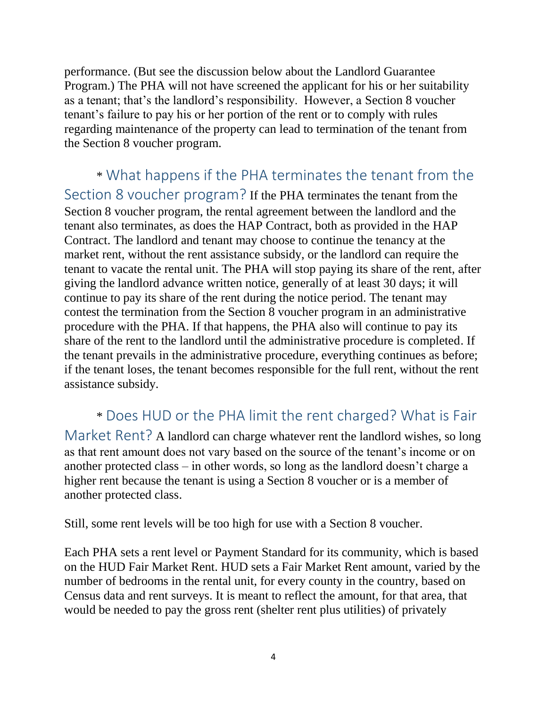performance. (But see the discussion below about the Landlord Guarantee Program.) The PHA will not have screened the applicant for his or her suitability as a tenant; that's the landlord's responsibility. However, a Section 8 voucher tenant's failure to pay his or her portion of the rent or to comply with rules regarding maintenance of the property can lead to termination of the tenant from the Section 8 voucher program.

#### \* What happens if the PHA terminates the tenant from the Section 8 voucher program? If the PHA terminates the tenant from the Section 8 voucher program, the rental agreement between the landlord and the tenant also terminates, as does the HAP Contract, both as provided in the HAP Contract. The landlord and tenant may choose to continue the tenancy at the market rent, without the rent assistance subsidy, or the landlord can require the tenant to vacate the rental unit. The PHA will stop paying its share of the rent, after giving the landlord advance written notice, generally of at least 30 days; it will continue to pay its share of the rent during the notice period. The tenant may contest the termination from the Section 8 voucher program in an administrative procedure with the PHA. If that happens, the PHA also will continue to pay its

share of the rent to the landlord until the administrative procedure is completed. If the tenant prevails in the administrative procedure, everything continues as before; if the tenant loses, the tenant becomes responsible for the full rent, without the rent assistance subsidy.

## \* Does HUD or the PHA limit the rent charged? What is Fair

Market Rent? A landlord can charge whatever rent the landlord wishes, so long as that rent amount does not vary based on the source of the tenant's income or on another protected class – in other words, so long as the landlord doesn't charge a higher rent because the tenant is using a Section 8 voucher or is a member of another protected class.

Still, some rent levels will be too high for use with a Section 8 voucher.

Each PHA sets a rent level or Payment Standard for its community, which is based on the HUD Fair Market Rent. HUD sets a Fair Market Rent amount, varied by the number of bedrooms in the rental unit, for every county in the country, based on Census data and rent surveys. It is meant to reflect the amount, for that area, that would be needed to pay the gross rent (shelter rent plus utilities) of privately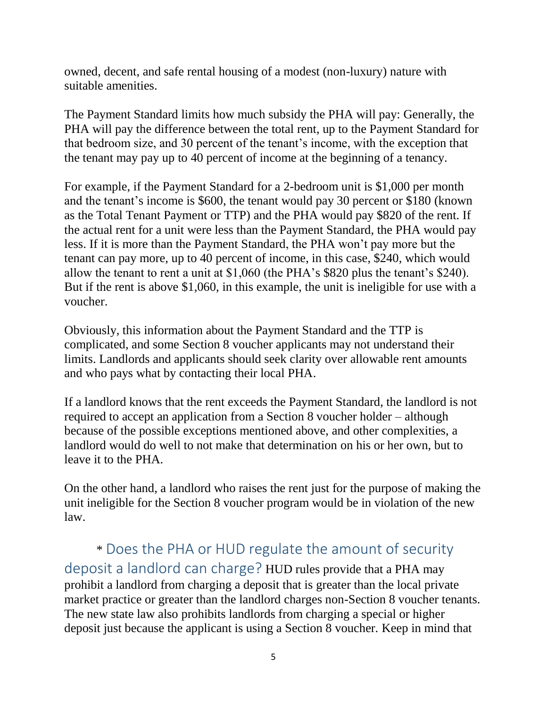owned, decent, and safe rental housing of a modest (non-luxury) nature with suitable amenities.

The Payment Standard limits how much subsidy the PHA will pay: Generally, the PHA will pay the difference between the total rent, up to the Payment Standard for that bedroom size, and 30 percent of the tenant's income, with the exception that the tenant may pay up to 40 percent of income at the beginning of a tenancy.

For example, if the Payment Standard for a 2-bedroom unit is \$1,000 per month and the tenant's income is \$600, the tenant would pay 30 percent or \$180 (known as the Total Tenant Payment or TTP) and the PHA would pay \$820 of the rent. If the actual rent for a unit were less than the Payment Standard, the PHA would pay less. If it is more than the Payment Standard, the PHA won't pay more but the tenant can pay more, up to 40 percent of income, in this case, \$240, which would allow the tenant to rent a unit at \$1,060 (the PHA's \$820 plus the tenant's \$240). But if the rent is above \$1,060, in this example, the unit is ineligible for use with a voucher.

Obviously, this information about the Payment Standard and the TTP is complicated, and some Section 8 voucher applicants may not understand their limits. Landlords and applicants should seek clarity over allowable rent amounts and who pays what by contacting their local PHA.

If a landlord knows that the rent exceeds the Payment Standard, the landlord is not required to accept an application from a Section 8 voucher holder – although because of the possible exceptions mentioned above, and other complexities, a landlord would do well to not make that determination on his or her own, but to leave it to the PHA.

On the other hand, a landlord who raises the rent just for the purpose of making the unit ineligible for the Section 8 voucher program would be in violation of the new law.

## \* Does the PHA or HUD regulate the amount of security

deposit a landlord can charge? HUD rules provide that a PHA may prohibit a landlord from charging a deposit that is greater than the local private market practice or greater than the landlord charges non-Section 8 voucher tenants. The new state law also prohibits landlords from charging a special or higher deposit just because the applicant is using a Section 8 voucher. Keep in mind that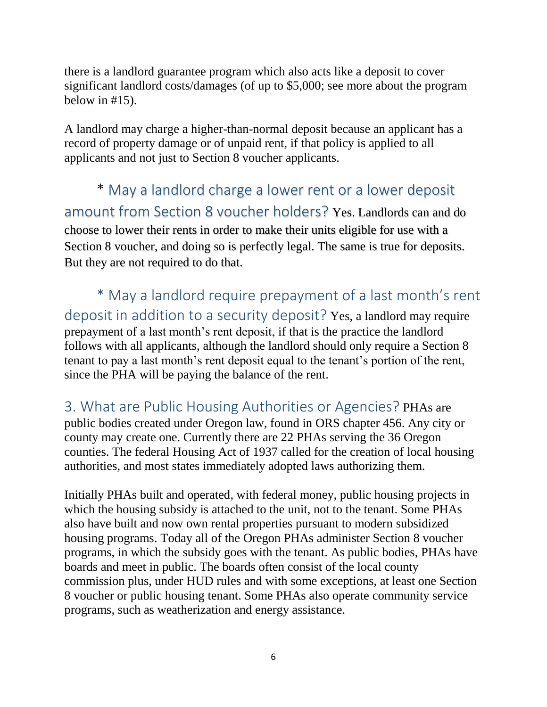there is a landlord guarantee program which also acts like a deposit to cover significant landlord costs/damages (of up to \$5,000; see more about the program below in #15).

A landlord may charge a higher-than-normal deposit because an applicant has a record of property damage or of unpaid rent, if that policy is applied to all applicants and not just to Section 8 voucher applicants.

\* May a landlord charge a lower rent or a lower deposit amount from Section 8 voucher holders? Yes. Landlords can and do choose to lower their rents in order to make their units eligible for use with a Section 8 voucher, and doing so is perfectly legal. The same is true for deposits. But they are not required to do that.

\* May a landlord require prepayment of a last month's rent deposit in addition to a security deposit? Yes, a landlord may require prepayment of a last month's rent deposit, if that is the practice the landlord follows with all applicants, although the landlord should only require a Section 8 tenant to pay a last month's rent deposit equal to the tenant's portion of the rent, since the PHA will be paying the balance of the rent.

3. What are Public Housing Authorities or Agencies? PHAs are public bodies created under Oregon law, found in ORS chapter 456. Any city or county may create one. Currently there are 22 PHAs serving the 36 Oregon counties. The federal Housing Act of 1937 called for the creation of local housing authorities, and most states immediately adopted laws authorizing them.

Initially PHAs built and operated, with federal money, public housing projects in which the housing subsidy is attached to the unit, not to the tenant. Some PHAs also have built and now own rental properties pursuant to modern subsidized housing programs. Today all of the Oregon PHAs administer Section 8 voucher programs, in which the subsidy goes with the tenant. As public bodies, PHAs have boards and meet in public. The boards often consist of the local county commission plus, under HUD rules and with some exceptions, at least one Section 8 voucher or public housing tenant. Some PHAs also operate community service programs, such as weatherization and energy assistance.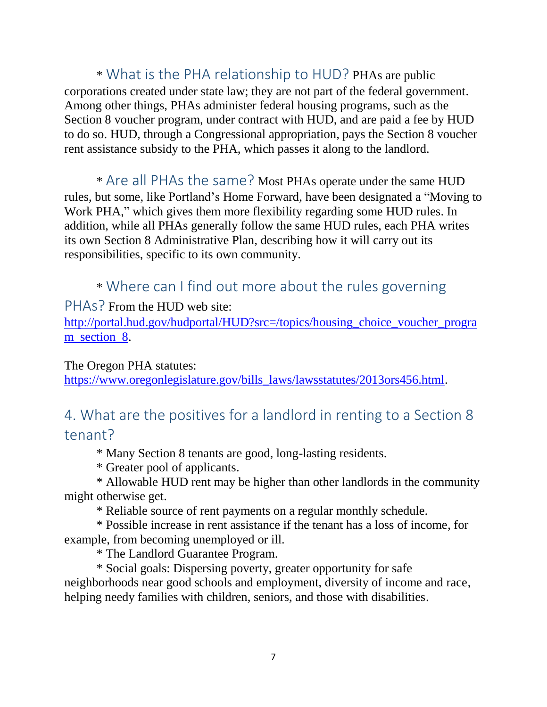\* What is the PHA relationship to HUD? PHAs are public corporations created under state law; they are not part of the federal government. Among other things, PHAs administer federal housing programs, such as the Section 8 voucher program, under contract with HUD, and are paid a fee by HUD to do so. HUD, through a Congressional appropriation, pays the Section 8 voucher rent assistance subsidy to the PHA, which passes it along to the landlord.

\* Are all PHAs the same? Most PHAs operate under the same HUD rules, but some, like Portland's Home Forward, have been designated a "Moving to Work PHA," which gives them more flexibility regarding some HUD rules. In addition, while all PHAs generally follow the same HUD rules, each PHA writes its own Section 8 Administrative Plan, describing how it will carry out its responsibilities, specific to its own community.

\* Where can I find out more about the rules governing

PHAs? From the HUD web site:

[http://portal.hud.gov/hudportal/HUD?src=/topics/housing\\_choice\\_voucher\\_progra](http://portal.hud.gov/hudportal/HUD?src=/topics/housing_choice_voucher_program_section_8) [m\\_section\\_8.](http://portal.hud.gov/hudportal/HUD?src=/topics/housing_choice_voucher_program_section_8)

The Oregon PHA statutes:

[https://www.oregonlegislature.gov/bills\\_laws/lawsstatutes/2013ors456.html.](https://www.oregonlegislature.gov/bills_laws/lawsstatutes/2013ors456.html)

## 4. What are the positives for a landlord in renting to a Section 8 tenant?

\* Many Section 8 tenants are good, long-lasting residents.

\* Greater pool of applicants.

\* Allowable HUD rent may be higher than other landlords in the community might otherwise get.

\* Reliable source of rent payments on a regular monthly schedule.

\* Possible increase in rent assistance if the tenant has a loss of income, for example, from becoming unemployed or ill.

\* The Landlord Guarantee Program.

\* Social goals: Dispersing poverty, greater opportunity for safe neighborhoods near good schools and employment, diversity of income and race, helping needy families with children, seniors, and those with disabilities.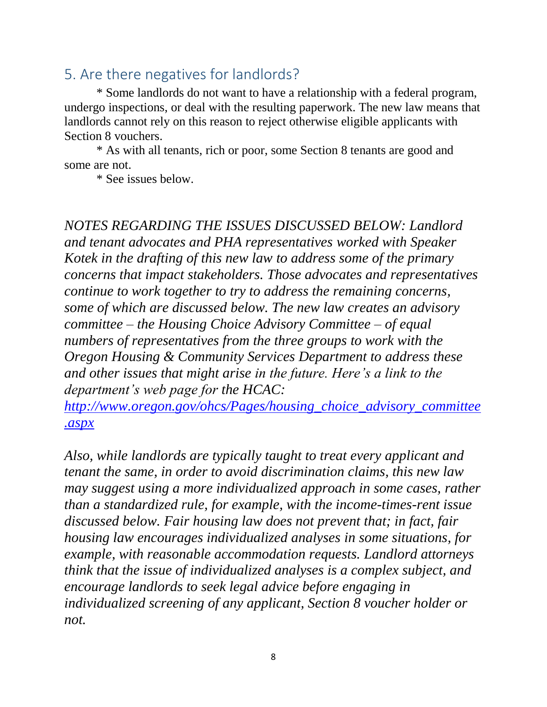# 5. Are there negatives for landlords?

\* Some landlords do not want to have a relationship with a federal program, undergo inspections, or deal with the resulting paperwork. The new law means that landlords cannot rely on this reason to reject otherwise eligible applicants with Section 8 vouchers.

\* As with all tenants, rich or poor, some Section 8 tenants are good and some are not.

\* See issues below.

*NOTES REGARDING THE ISSUES DISCUSSED BELOW: Landlord and tenant advocates and PHA representatives worked with Speaker Kotek in the drafting of this new law to address some of the primary concerns that impact stakeholders. Those advocates and representatives continue to work together to try to address the remaining concerns, some of which are discussed below. The new law creates an advisory committee – the Housing Choice Advisory Committee – of equal numbers of representatives from the three groups to work with the Oregon Housing & Community Services Department to address these and other issues that might arise in the future. Here's a link to the department's web page for the HCAC:* 

*[http://www.oregon.gov/ohcs/Pages/housing\\_choice\\_advisory\\_committee](http://www.oregon.gov/ohcs/Pages/housing_choice_advisory_committee.aspx) [.aspx](http://www.oregon.gov/ohcs/Pages/housing_choice_advisory_committee.aspx)* 

*Also, while landlords are typically taught to treat every applicant and tenant the same, in order to avoid discrimination claims, this new law may suggest using a more individualized approach in some cases, rather than a standardized rule, for example, with the income-times-rent issue discussed below. Fair housing law does not prevent that; in fact, fair housing law encourages individualized analyses in some situations, for example, with reasonable accommodation requests. Landlord attorneys think that the issue of individualized analyses is a complex subject, and encourage landlords to seek legal advice before engaging in individualized screening of any applicant, Section 8 voucher holder or not.*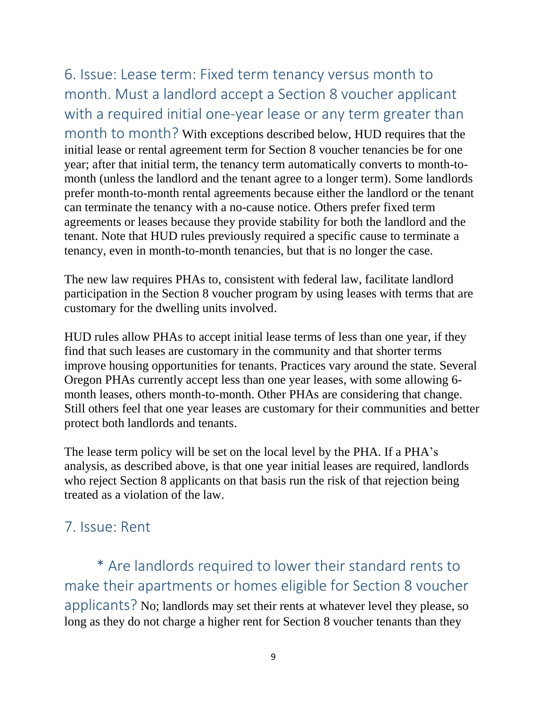6. Issue: Lease term: Fixed term tenancy versus month to month. Must a landlord accept a Section 8 voucher applicant with a required initial one-year lease or any term greater than month to month? With exceptions described below, HUD requires that the initial lease or rental agreement term for Section 8 voucher tenancies be for one year; after that initial term, the tenancy term automatically converts to month-tomonth (unless the landlord and the tenant agree to a longer term). Some landlords prefer month-to-month rental agreements because either the landlord or the tenant can terminate the tenancy with a no-cause notice. Others prefer fixed term agreements or leases because they provide stability for both the landlord and the tenant. Note that HUD rules previously required a specific cause to terminate a tenancy, even in month-to-month tenancies, but that is no longer the case.

The new law requires PHAs to, consistent with federal law, facilitate landlord participation in the Section 8 voucher program by using leases with terms that are customary for the dwelling units involved.

HUD rules allow PHAs to accept initial lease terms of less than one year, if they find that such leases are customary in the community and that shorter terms improve housing opportunities for tenants. Practices vary around the state. Several Oregon PHAs currently accept less than one year leases, with some allowing 6 month leases, others month-to-month. Other PHAs are considering that change. Still others feel that one year leases are customary for their communities and better protect both landlords and tenants.

The lease term policy will be set on the local level by the PHA. If a PHA's analysis, as described above, is that one year initial leases are required, landlords who reject Section 8 applicants on that basis run the risk of that rejection being treated as a violation of the law.

# 7. Issue: Rent

\* Are landlords required to lower their standard rents to make their apartments or homes eligible for Section 8 voucher applicants? No; landlords may set their rents at whatever level they please, so long as they do not charge a higher rent for Section 8 voucher tenants than they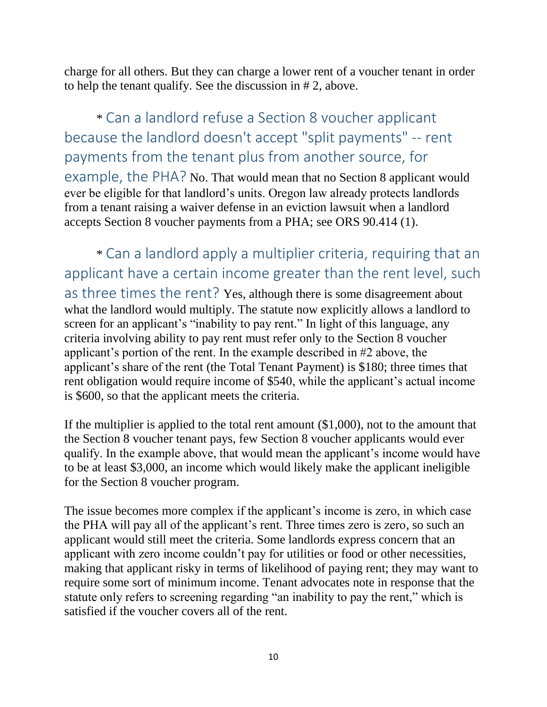charge for all others. But they can charge a lower rent of a voucher tenant in order to help the tenant qualify. See the discussion in # 2, above.

\* Can a landlord refuse a Section 8 voucher applicant because the landlord doesn't accept "split payments" -- rent payments from the tenant plus from another source, for example, the PHA? No. That would mean that no Section 8 applicant would ever be eligible for that landlord's units. Oregon law already protects landlords from a tenant raising a waiver defense in an eviction lawsuit when a landlord accepts Section 8 voucher payments from a PHA; see ORS 90.414 (1).

\* Can a landlord apply a multiplier criteria, requiring that an applicant have a certain income greater than the rent level, such as three times the rent? Yes, although there is some disagreement about what the landlord would multiply. The statute now explicitly allows a landlord to screen for an applicant's "inability to pay rent." In light of this language, any criteria involving ability to pay rent must refer only to the Section 8 voucher applicant's portion of the rent. In the example described in #2 above, the applicant's share of the rent (the Total Tenant Payment) is \$180; three times that rent obligation would require income of \$540, while the applicant's actual income is \$600, so that the applicant meets the criteria.

If the multiplier is applied to the total rent amount (\$1,000), not to the amount that the Section 8 voucher tenant pays, few Section 8 voucher applicants would ever qualify. In the example above, that would mean the applicant's income would have to be at least \$3,000, an income which would likely make the applicant ineligible for the Section 8 voucher program.

The issue becomes more complex if the applicant's income is zero, in which case the PHA will pay all of the applicant's rent. Three times zero is zero, so such an applicant would still meet the criteria. Some landlords express concern that an applicant with zero income couldn't pay for utilities or food or other necessities, making that applicant risky in terms of likelihood of paying rent; they may want to require some sort of minimum income. Tenant advocates note in response that the statute only refers to screening regarding "an inability to pay the rent," which is satisfied if the voucher covers all of the rent.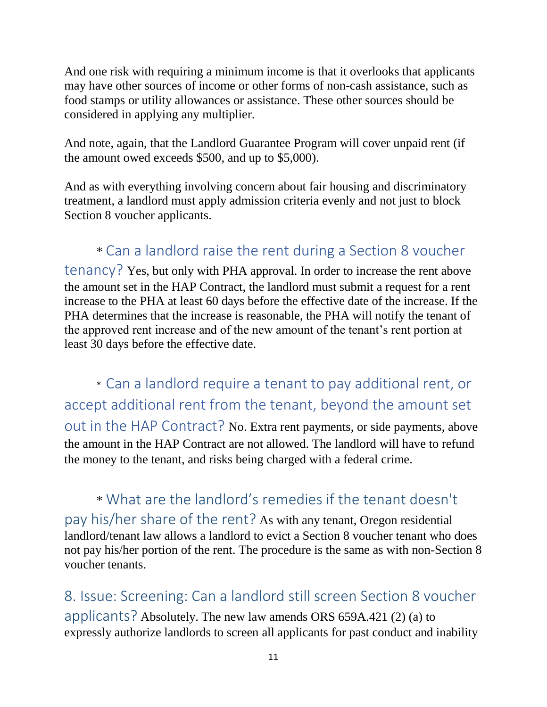And one risk with requiring a minimum income is that it overlooks that applicants may have other sources of income or other forms of non-cash assistance, such as food stamps or utility allowances or assistance. These other sources should be considered in applying any multiplier.

And note, again, that the Landlord Guarantee Program will cover unpaid rent (if the amount owed exceeds \$500, and up to \$5,000).

And as with everything involving concern about fair housing and discriminatory treatment, a landlord must apply admission criteria evenly and not just to block Section 8 voucher applicants.

# \* Can a landlord raise the rent during a Section 8 voucher

tenancy? Yes, but only with PHA approval. In order to increase the rent above the amount set in the HAP Contract, the landlord must submit a request for a rent increase to the PHA at least 60 days before the effective date of the increase. If the PHA determines that the increase is reasonable, the PHA will notify the tenant of the approved rent increase and of the new amount of the tenant's rent portion at least 30 days before the effective date.

\* Can a landlord require a tenant to pay additional rent, or accept additional rent from the tenant, beyond the amount set out in the HAP Contract? No. Extra rent payments, or side payments, above the amount in the HAP Contract are not allowed. The landlord will have to refund the money to the tenant, and risks being charged with a federal crime.

\* What are the landlord's remedies if the tenant doesn't pay his/her share of the rent? As with any tenant, Oregon residential landlord/tenant law allows a landlord to evict a Section 8 voucher tenant who does not pay his/her portion of the rent. The procedure is the same as with non-Section 8 voucher tenants.

8. Issue: Screening: Can a landlord still screen Section 8 voucher applicants? Absolutely. The new law amends ORS 659A.421 (2) (a) to expressly authorize landlords to screen all applicants for past conduct and inability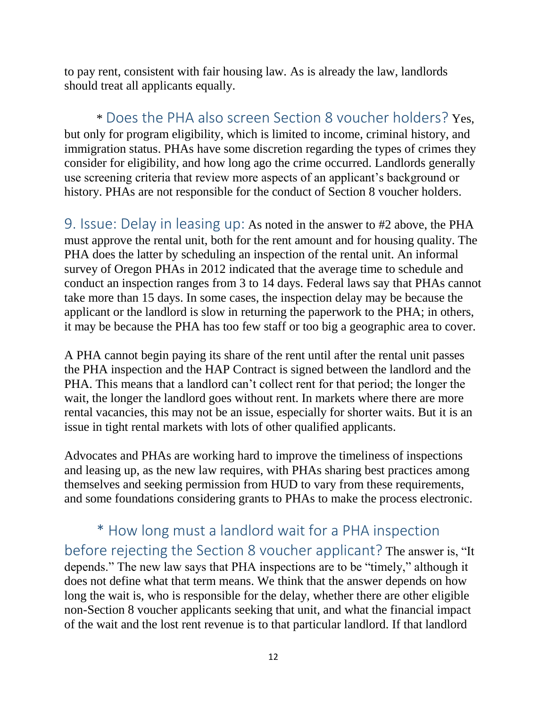to pay rent, consistent with fair housing law. As is already the law, landlords should treat all applicants equally.

\* Does the PHA also screen Section 8 voucher holders? Yes, but only for program eligibility, which is limited to income, criminal history, and immigration status. PHAs have some discretion regarding the types of crimes they consider for eligibility, and how long ago the crime occurred. Landlords generally use screening criteria that review more aspects of an applicant's background or history. PHAs are not responsible for the conduct of Section 8 voucher holders.

9. Issue: Delay in leasing up: As noted in the answer to #2 above, the PHA must approve the rental unit, both for the rent amount and for housing quality. The PHA does the latter by scheduling an inspection of the rental unit. An informal survey of Oregon PHAs in 2012 indicated that the average time to schedule and conduct an inspection ranges from 3 to 14 days. Federal laws say that PHAs cannot take more than 15 days. In some cases, the inspection delay may be because the applicant or the landlord is slow in returning the paperwork to the PHA; in others, it may be because the PHA has too few staff or too big a geographic area to cover.

A PHA cannot begin paying its share of the rent until after the rental unit passes the PHA inspection and the HAP Contract is signed between the landlord and the PHA. This means that a landlord can't collect rent for that period; the longer the wait, the longer the landlord goes without rent. In markets where there are more rental vacancies, this may not be an issue, especially for shorter waits. But it is an issue in tight rental markets with lots of other qualified applicants.

Advocates and PHAs are working hard to improve the timeliness of inspections and leasing up, as the new law requires, with PHAs sharing best practices among themselves and seeking permission from HUD to vary from these requirements, and some foundations considering grants to PHAs to make the process electronic.

\* How long must a landlord wait for a PHA inspection before rejecting the Section 8 voucher applicant? The answer is, "It depends." The new law says that PHA inspections are to be "timely," although it does not define what that term means. We think that the answer depends on how long the wait is, who is responsible for the delay, whether there are other eligible non-Section 8 voucher applicants seeking that unit, and what the financial impact of the wait and the lost rent revenue is to that particular landlord. If that landlord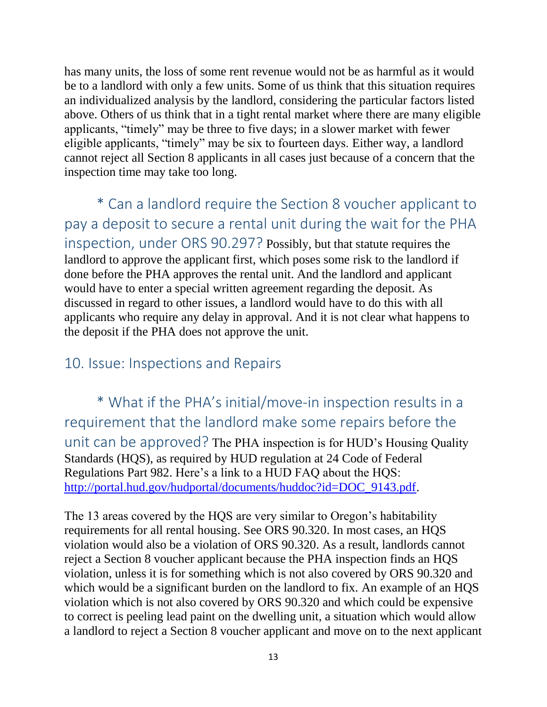has many units, the loss of some rent revenue would not be as harmful as it would be to a landlord with only a few units. Some of us think that this situation requires an individualized analysis by the landlord, considering the particular factors listed above. Others of us think that in a tight rental market where there are many eligible applicants, "timely" may be three to five days; in a slower market with fewer eligible applicants, "timely" may be six to fourteen days. Either way, a landlord cannot reject all Section 8 applicants in all cases just because of a concern that the inspection time may take too long.

\* Can a landlord require the Section 8 voucher applicant to pay a deposit to secure a rental unit during the wait for the PHA inspection, under ORS 90.297? Possibly, but that statute requires the landlord to approve the applicant first, which poses some risk to the landlord if done before the PHA approves the rental unit. And the landlord and applicant would have to enter a special written agreement regarding the deposit. As discussed in regard to other issues, a landlord would have to do this with all applicants who require any delay in approval. And it is not clear what happens to the deposit if the PHA does not approve the unit.

## 10. Issue: Inspections and Repairs

\* What if the PHA's initial/move-in inspection results in a requirement that the landlord make some repairs before the unit can be approved? The PHA inspection is for HUD's Housing Quality Standards (HQS), as required by HUD regulation at 24 Code of Federal Regulations Part 982. Here's a link to a HUD FAQ about the HQS: [http://portal.hud.gov/hudportal/documents/huddoc?id=DOC\\_9143.pdf.](http://portal.hud.gov/hudportal/documents/huddoc?id=DOC_9143.pdf)

The 13 areas covered by the HQS are very similar to Oregon's habitability requirements for all rental housing. See ORS 90.320. In most cases, an HQS violation would also be a violation of ORS 90.320. As a result, landlords cannot reject a Section 8 voucher applicant because the PHA inspection finds an HQS violation, unless it is for something which is not also covered by ORS 90.320 and which would be a significant burden on the landlord to fix. An example of an HQS violation which is not also covered by ORS 90.320 and which could be expensive to correct is peeling lead paint on the dwelling unit, a situation which would allow a landlord to reject a Section 8 voucher applicant and move on to the next applicant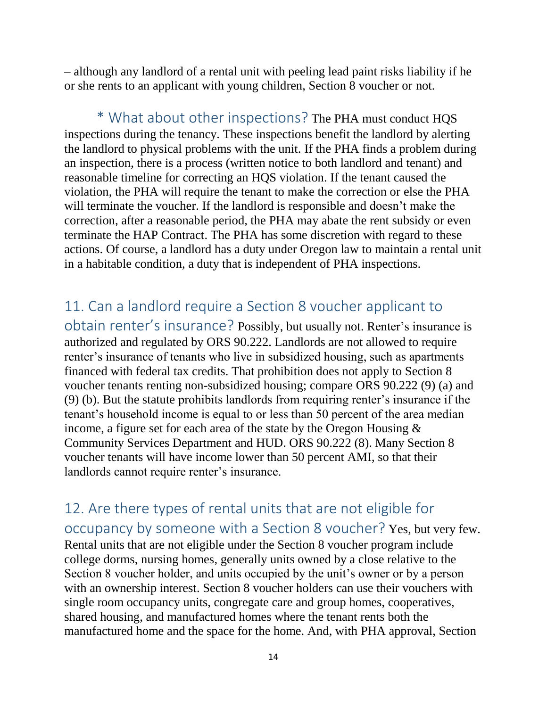– although any landlord of a rental unit with peeling lead paint risks liability if he or she rents to an applicant with young children, Section 8 voucher or not.

\* What about other inspections? The PHA must conduct HQS inspections during the tenancy. These inspections benefit the landlord by alerting the landlord to physical problems with the unit. If the PHA finds a problem during an inspection, there is a process (written notice to both landlord and tenant) and reasonable timeline for correcting an HQS violation. If the tenant caused the violation, the PHA will require the tenant to make the correction or else the PHA will terminate the voucher. If the landlord is responsible and doesn't make the correction, after a reasonable period, the PHA may abate the rent subsidy or even terminate the HAP Contract. The PHA has some discretion with regard to these actions. Of course, a landlord has a duty under Oregon law to maintain a rental unit in a habitable condition, a duty that is independent of PHA inspections.

## 11. Can a landlord require a Section 8 voucher applicant to

obtain renter's insurance? Possibly, but usually not. Renter's insurance is authorized and regulated by ORS 90.222. Landlords are not allowed to require renter's insurance of tenants who live in subsidized housing, such as apartments financed with federal tax credits. That prohibition does not apply to Section 8 voucher tenants renting non-subsidized housing; compare ORS 90.222 (9) (a) and (9) (b). But the statute prohibits landlords from requiring renter's insurance if the tenant's household income is equal to or less than 50 percent of the area median income, a figure set for each area of the state by the Oregon Housing & Community Services Department and HUD. ORS 90.222 (8). Many Section 8 voucher tenants will have income lower than 50 percent AMI, so that their landlords cannot require renter's insurance.

12. Are there types of rental units that are not eligible for occupancy by someone with a Section 8 voucher? Yes, but very few. Rental units that are not eligible under the Section 8 voucher program include college dorms, nursing homes, generally units owned by a close relative to the Section 8 voucher holder, and units occupied by the unit's owner or by a person with an ownership interest. Section 8 voucher holders can use their vouchers with single room occupancy units, congregate care and group homes, cooperatives, shared housing, and manufactured homes where the tenant rents both the manufactured home and the space for the home. And, with PHA approval, Section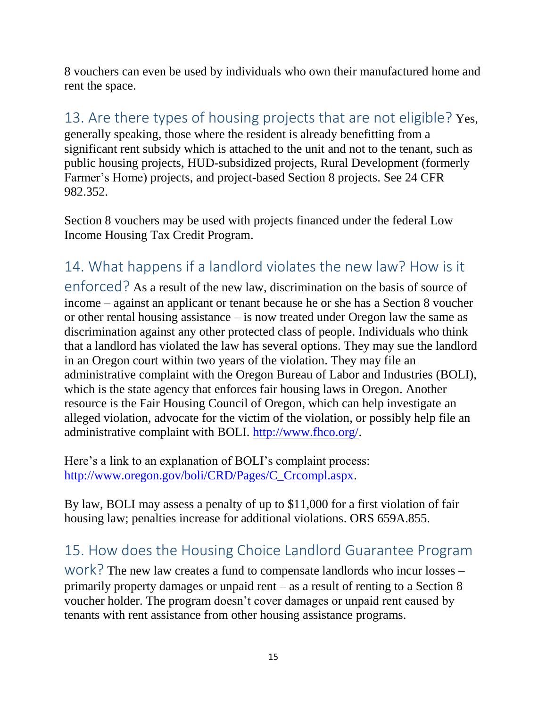8 vouchers can even be used by individuals who own their manufactured home and rent the space.

# 13. Are there types of housing projects that are not eligible? Yes,

generally speaking, those where the resident is already benefitting from a significant rent subsidy which is attached to the unit and not to the tenant, such as public housing projects, HUD-subsidized projects, Rural Development (formerly Farmer's Home) projects, and project-based Section 8 projects. See 24 CFR 982.352.

Section 8 vouchers may be used with projects financed under the federal Low Income Housing Tax Credit Program.

14. What happens if a landlord violates the new law? How is it enforced? As a result of the new law, discrimination on the basis of source of income – against an applicant or tenant because he or she has a Section 8 voucher or other rental housing assistance – is now treated under Oregon law the same as discrimination against any other protected class of people. Individuals who think that a landlord has violated the law has several options. They may sue the landlord in an Oregon court within two years of the violation. They may file an administrative complaint with the Oregon Bureau of Labor and Industries (BOLI), which is the state agency that enforces fair housing laws in Oregon. Another resource is the Fair Housing Council of Oregon, which can help investigate an alleged violation, advocate for the victim of the violation, or possibly help file an administrative complaint with BOLI. [http://www.fhco.org/.](http://www.fhco.org/)

Here's a link to an explanation of BOLI's complaint process: [http://www.oregon.gov/boli/CRD/Pages/C\\_Crcompl.aspx.](http://www.oregon.gov/boli/CRD/Pages/C_Crcompl.aspx)

By law, BOLI may assess a penalty of up to \$11,000 for a first violation of fair housing law; penalties increase for additional violations. ORS 659A.855.

# 15. How does the Housing Choice Landlord Guarantee Program

work? The new law creates a fund to compensate landlords who incur losses – primarily property damages or unpaid rent – as a result of renting to a Section 8 voucher holder. The program doesn't cover damages or unpaid rent caused by tenants with rent assistance from other housing assistance programs.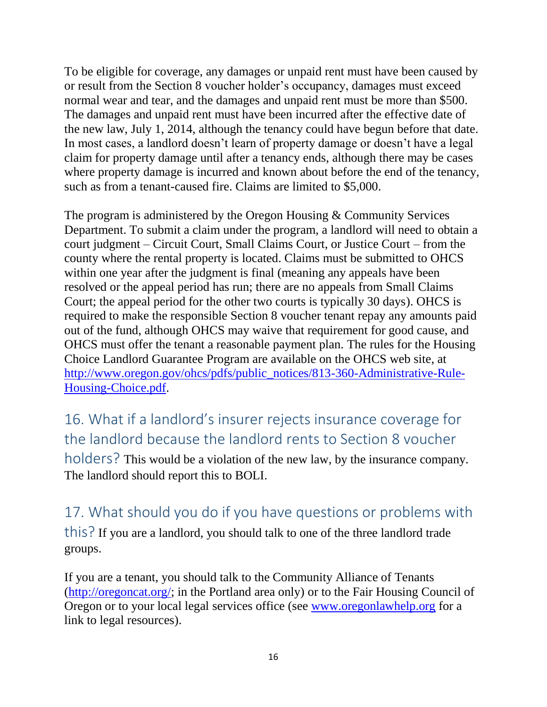To be eligible for coverage, any damages or unpaid rent must have been caused by or result from the Section 8 voucher holder's occupancy, damages must exceed normal wear and tear, and the damages and unpaid rent must be more than \$500. The damages and unpaid rent must have been incurred after the effective date of the new law, July 1, 2014, although the tenancy could have begun before that date. In most cases, a landlord doesn't learn of property damage or doesn't have a legal claim for property damage until after a tenancy ends, although there may be cases where property damage is incurred and known about before the end of the tenancy, such as from a tenant-caused fire. Claims are limited to \$5,000.

The program is administered by the Oregon Housing & Community Services Department. To submit a claim under the program, a landlord will need to obtain a court judgment – Circuit Court, Small Claims Court, or Justice Court – from the county where the rental property is located. Claims must be submitted to OHCS within one year after the judgment is final (meaning any appeals have been resolved or the appeal period has run; there are no appeals from Small Claims Court; the appeal period for the other two courts is typically 30 days). OHCS is required to make the responsible Section 8 voucher tenant repay any amounts paid out of the fund, although OHCS may waive that requirement for good cause, and OHCS must offer the tenant a reasonable payment plan. The rules for the Housing Choice Landlord Guarantee Program are available on the OHCS web site, at [http://www.oregon.gov/ohcs/pdfs/public\\_notices/813-360-Administrative-Rule-](http://www.oregon.gov/ohcs/pdfs/public_notices/813-360-Administrative-Rule-Housing-Choice.pdf)[Housing-Choice.pdf.](http://www.oregon.gov/ohcs/pdfs/public_notices/813-360-Administrative-Rule-Housing-Choice.pdf)

16. What if a landlord's insurer rejects insurance coverage for the landlord because the landlord rents to Section 8 voucher holders? This would be a violation of the new law, by the insurance company. The landlord should report this to BOLI.

17. What should you do if you have questions or problems with this? If you are a landlord, you should talk to one of the three landlord trade groups.

If you are a tenant, you should talk to the Community Alliance of Tenants [\(http://oregoncat.org/;](http://oregoncat.org/) in the Portland area only) or to the Fair Housing Council of Oregon or to your local legal services office (see [www.oregonlawhelp.org](http://www.oregonlawhelp.org/) for a link to legal resources).